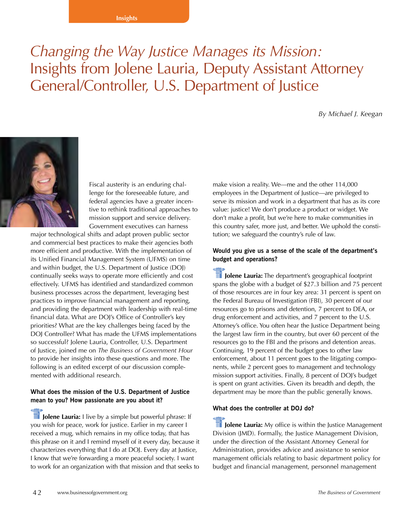# *Changing the Way Justice Manages its Mission:* Insights from Jolene Lauria, Deputy Assistant Attorney General/Controller, U.S. Department of Justice

*By Michael J. Keegan*



Fiscal austerity is an enduring challenge for the foreseeable future, and federal agencies have a greater incentive to rethink traditional approaches to mission support and service delivery. Government executives can harness

major technological shifts and adapt proven public sector and commercial best practices to make their agencies both more efficient and productive. With the implementation of its Unified Financial Management System (UFMS) on time and within budget, the U.S. Department of Justice (DOJ) continually seeks ways to operate more efficiently and cost effectively. UFMS has identified and standardized common business processes across the department, leveraging best practices to improve financial management and reporting, and providing the department with leadership with real-time financial data. What are DOJ's Office of Controller's key priorities? What are the key challenges being faced by the DOJ Controller? What has made the UFMS implementations so successful? Jolene Lauria, Controller, U.S. Department of Justice, joined me on *The Business of Government Hour* to provide her insights into these questions and more. The following is an edited excerpt of our discussion complemented with additional research.

### **What does the mission of the U.S. Department of Justice mean to you? How passionate are you about it?**

**ID Jolene Lauria:** I live by a simple but powerful phrase: If you wish for peace, work for justice. Earlier in my career I received a mug, which remains in my office today, that has this phrase on it and I remind myself of it every day, because it characterizes everything that I do at DOJ. Every day at Justice, I know that we're forwarding a more peaceful society. I want to work for an organization with that mission and that seeks to

make vision a reality. We—me and the other 114,000 employees in the Department of Justice—are privileged to serve its mission and work in a department that has as its core value: justice! We don't produce a product or widget. We don't make a profit, but we're here to make communities in this country safer, more just, and better. We uphold the constitution; we safeguard the country's rule of law.

## **Would you give us a sense of the scale of the department's budget and operations?**

**III** Jolene Lauria: The department's geographical footprint spans the globe with a budget of \$27.3 billion and 75 percent of those resources are in four key area: 31 percent is spent on the Federal Bureau of Investigation (FBI), 30 percent of our resources go to prisons and detention, 7 percent to DEA, or drug enforcement and activities, and 7 percent to the U.S. Attorney's office. You often hear the Justice Department being the largest law firm in the country, but over 60 percent of the resources go to the FBI and the prisons and detention areas. Continuing, 19 percent of the budget goes to other law enforcement, about 11 percent goes to the litigating components, while 2 percent goes to management and technology mission support activities. Finally, 8 percent of DOJ's budget is spent on grant activities. Given its breadth and depth, the department may be more than the public generally knows.

#### **What does the controller at DOJ do?**

**ID Jolene Lauria:** My office is within the Justice Management Division (JMD). Formally, the Justice Management Division, under the direction of the Assistant Attorney General for Administration, provides advice and assistance to senior management officials relating to basic department policy for budget and financial management, personnel management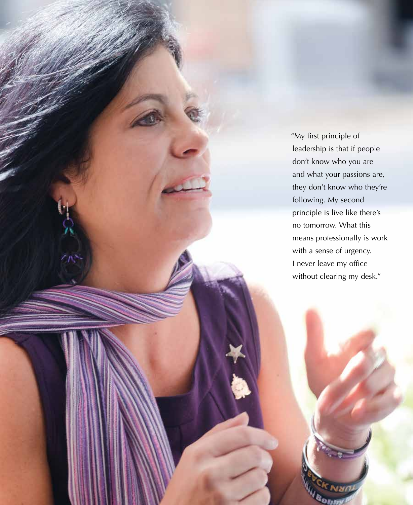"My first principle of leadership is that if people don't know who you are and what your passions are, they don't know who they're following. My second principle is live like there's no tomorrow. What this means professionally is work with a sense of urgency. I never leave my office without clearing my desk."

Bom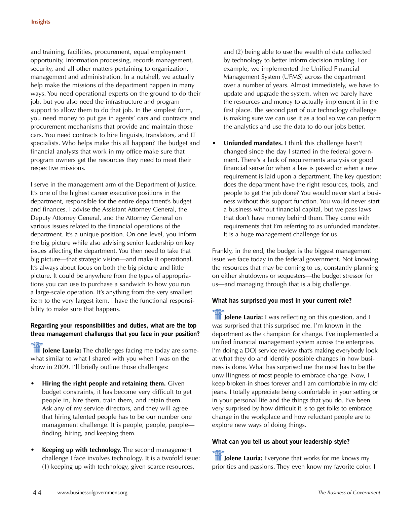and training, facilities, procurement, equal employment opportunity, information processing, records management, security, and all other matters pertaining to organization, management and administration. In a nutshell, we actually help make the missions of the department happen in many ways. You need operational experts on the ground to do their job, but you also need the infrastructure and program support to allow them to do that job. In the simplest form, you need money to put gas in agents' cars and contracts and procurement mechanisms that provide and maintain those cars. You need contracts to hire linguists, translators, and IT specialists. Who helps make this all happen? The budget and financial analysts that work in my office make sure that program owners get the resources they need to meet their respective missions.

I serve in the management arm of the Department of Justice. It's one of the highest career executive positions in the department, responsible for the entire department's budget and finances. I advise the Assistant Attorney General, the Deputy Attorney General, and the Attorney General on various issues related to the financial operations of the department. It's a unique position. On one level, you inform the big picture while also advising senior leadership on key issues affecting the department. You then need to take that big picture—that strategic vision—and make it operational. It's always about focus on both the big picture and little picture. It could be anywhere from the types of appropriations you can use to purchase a sandwich to how you run a large-scale operation. It's anything from the very smallest item to the very largest item. I have the functional responsibility to make sure that happens.

## **Regarding your responsibilities and duties, what are the top three management challenges that you face in your position?**

**III** Jolene Lauria: The challenges facing me today are somewhat similar to what I shared with you when I was on the show in 2009. I'll briefly outline those challenges:

- **Hiring the right people and retaining them.** Given budget constraints, it has become very difficult to get people in, hire them, train them, and retain them. Ask any of my service directors, and they will agree that hiring talented people has to be our number one management challenge. It is people, people, people finding, hiring, and keeping them.
- **Keeping up with technology.** The second management challenge I face involves technology. It is a twofold issue: (1) keeping up with technology, given scarce resources,

and (2) being able to use the wealth of data collected by technology to better inform decision making. For example, we implemented the Unified Financial Management System (UFMS) across the department over a number of years. Almost immediately, we have to update and upgrade the system, when we barely have the resources and money to actually implement it in the first place. The second part of our technology challenge is making sure we can use it as a tool so we can perform the analytics and use the data to do our jobs better.

• **Unfunded mandates.** I think this challenge hasn't changed since the day I started in the federal government. There's a lack of requirements analysis or good financial sense for when a law is passed or when a new requirement is laid upon a department. The key question: does the department have the right resources, tools, and people to get the job done? You would never start a business without this support function. You would never start a business without financial capital, but we pass laws that don't have money behind them. They come with requirements that I'm referring to as unfunded mandates. It is a huge management challenge for us.

Frankly, in the end, the budget is the biggest management issue we face today in the federal government. Not knowing the resources that may be coming to us, constantly planning on either shutdowns or sequesters—the budget stressor for us—and managing through that is a big challenge.

#### **What has surprised you most in your current role?**

**I Jolene Lauria:** I was reflecting on this question, and I was surprised that this surprised me. I'm known in the department as the champion for change. I've implemented a unified financial management system across the enterprise. I'm doing a DOJ service review that's making everybody look at what they do and identify possible changes in how business is done. What has surprised me the most has to be the unwillingness of most people to embrace change. Now, I keep broken-in shoes forever and I am comfortable in my old jeans. I totally appreciate being comfortable in your setting or in your personal life and the things that you do. I've been very surprised by how difficult it is to get folks to embrace change in the workplace and how reluctant people are to explore new ways of doing things.

## **What can you tell us about your leadership style?**

**III** Jolene Lauria: Everyone that works for me knows my priorities and passions. They even know my favorite color. I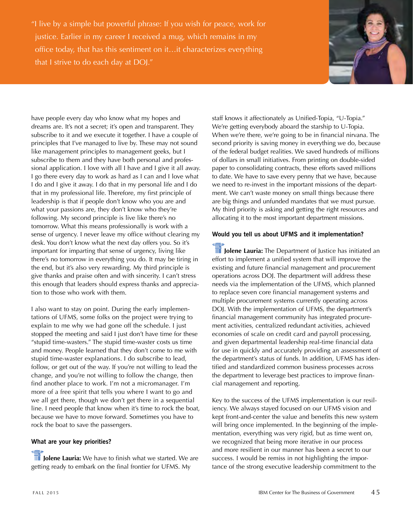"I live by a simple but powerful phrase: If you wish for peace, work for justice. Earlier in my career I received a mug, which remains in my office today, that has this sentiment on it…it characterizes everything that I strive to do each day at DOJ."



have people every day who know what my hopes and dreams are. It's not a secret; it's open and transparent. They subscribe to it and we execute it together. I have a couple of principles that I've managed to live by. These may not sound like management principles to management geeks, but I subscribe to them and they have both personal and professional application. I love with all I have and I give it all away. I go there every day to work as hard as I can and I love what I do and I give it away. I do that in my personal life and I do that in my professional life. Therefore, my first principle of leadership is that if people don't know who you are and what your passions are, they don't know who they're following. My second principle is live like there's no tomorrow. What this means professionally is work with a sense of urgency. I never leave my office without clearing my desk. You don't know what the next day offers you. So it's important for imparting that sense of urgency, living like there's no tomorrow in everything you do. It may be tiring in the end, but it's also very rewarding. My third principle is give thanks and praise often and with sincerity. I can't stress this enough that leaders should express thanks and appreciation to those who work with them.

I also want to stay on point. During the early implementations of UFMS, some folks on the project were trying to explain to me why we had gone off the schedule. I just stopped the meeting and said I just don't have time for these "stupid time-wasters." The stupid time-waster costs us time and money. People learned that they don't come to me with stupid time-waster explanations. I do subscribe to lead, follow, or get out of the way. If you're not willing to lead the change, and you're not willing to follow the change, then find another place to work. I'm not a micromanager. I'm more of a free spirit that tells you where I want to go and we all get there, though we don't get there in a sequential line. I need people that know when it's time to rock the boat, because we have to move forward. Sometimes you have to rock the boat to save the passengers.

#### **What are your key priorities?**

**Jolene Lauria:** We have to finish what we started. We are getting ready to embark on the final frontier for UFMS. My

staff knows it affectionately as Unified-Topia, "U-Topia." We're getting everybody aboard the starship to U-Topia. When we're there, we're going to be in financial nirvana. The second priority is saving money in everything we do, because of the federal budget realities. We saved hundreds of millions of dollars in small initiatives. From printing on double-sided paper to consolidating contracts, these efforts saved millions to date. We have to save every penny that we have, because we need to re-invest in the important missions of the department. We can't waste money on small things because there are big things and unfunded mandates that we must pursue. My third priority is asking and getting the right resources and allocating it to the most important department missions.

## **Would you tell us about UFMS and it implementation?**

**ME** Jolene Lauria: The Department of Justice has initiated an effort to implement a unified system that will improve the existing and future financial management and procurement operations across DOJ. The department will address these needs via the implementation of the UFMS, which planned to replace seven core financial management systems and multiple procurement systems currently operating across DOJ. With the implementation of UFMS, the department's financial management community has integrated procurement activities, centralized redundant activities, achieved economies of scale on credit card and payroll processing, and given departmental leadership real-time financial data for use in quickly and accurately providing an assessment of the department's status of funds. In addition, UFMS has identified and standardized common business processes across the department to leverage best practices to improve financial management and reporting.

Key to the success of the UFMS implementation is our resiliency. We always stayed focused on our UFMS vision and kept front-and-center the value and benefits this new system will bring once implemented. In the beginning of the implementation, everything was very rigid, but as time went on, we recognized that being more iterative in our process and more resilient in our manner has been a secret to our success. I would be remiss in not highlighting the importance of the strong executive leadership commitment to the